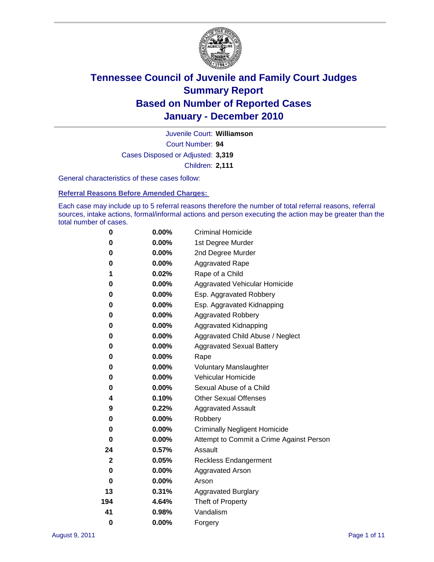

Court Number: **94** Juvenile Court: **Williamson** Cases Disposed or Adjusted: **3,319** Children: **2,111**

General characteristics of these cases follow:

**Referral Reasons Before Amended Charges:** 

Each case may include up to 5 referral reasons therefore the number of total referral reasons, referral sources, intake actions, formal/informal actions and person executing the action may be greater than the total number of cases.

| 0            | $0.00\%$ | <b>Criminal Homicide</b>                 |
|--------------|----------|------------------------------------------|
| 0            | 0.00%    | 1st Degree Murder                        |
| 0            | 0.00%    | 2nd Degree Murder                        |
| 0            | $0.00\%$ | <b>Aggravated Rape</b>                   |
| 1            | 0.02%    | Rape of a Child                          |
| 0            | $0.00\%$ | Aggravated Vehicular Homicide            |
| 0            | 0.00%    | Esp. Aggravated Robbery                  |
| 0            | $0.00\%$ | Esp. Aggravated Kidnapping               |
| 0            | 0.00%    | <b>Aggravated Robbery</b>                |
| 0            | 0.00%    | Aggravated Kidnapping                    |
| 0            | 0.00%    | Aggravated Child Abuse / Neglect         |
| 0            | 0.00%    | <b>Aggravated Sexual Battery</b>         |
| 0            | $0.00\%$ | Rape                                     |
| 0            | 0.00%    | <b>Voluntary Manslaughter</b>            |
| 0            | 0.00%    | Vehicular Homicide                       |
| 0            | 0.00%    | Sexual Abuse of a Child                  |
| 4            | 0.10%    | <b>Other Sexual Offenses</b>             |
| 9            | 0.22%    | <b>Aggravated Assault</b>                |
| 0            | 0.00%    | Robbery                                  |
| 0            | $0.00\%$ | <b>Criminally Negligent Homicide</b>     |
| 0            | $0.00\%$ | Attempt to Commit a Crime Against Person |
| 24           | 0.57%    | Assault                                  |
| $\mathbf{2}$ | 0.05%    | <b>Reckless Endangerment</b>             |
| 0            | 0.00%    | <b>Aggravated Arson</b>                  |
| 0            | $0.00\%$ | Arson                                    |
| 13           | 0.31%    | <b>Aggravated Burglary</b>               |
| 194          | 4.64%    | Theft of Property                        |
| 41           | 0.98%    | Vandalism                                |
| 0            | 0.00%    | Forgery                                  |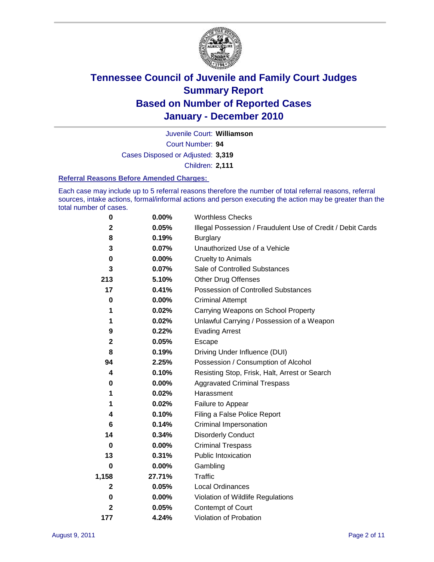

Court Number: **94** Juvenile Court: **Williamson** Cases Disposed or Adjusted: **3,319** Children: **2,111**

#### **Referral Reasons Before Amended Charges:**

Each case may include up to 5 referral reasons therefore the number of total referral reasons, referral sources, intake actions, formal/informal actions and person executing the action may be greater than the total number of cases.

| 0     | 0.00%    | <b>Worthless Checks</b>                                     |  |  |  |
|-------|----------|-------------------------------------------------------------|--|--|--|
| 2     | 0.05%    | Illegal Possession / Fraudulent Use of Credit / Debit Cards |  |  |  |
| 8     | 0.19%    | <b>Burglary</b>                                             |  |  |  |
| 3     | 0.07%    | Unauthorized Use of a Vehicle                               |  |  |  |
| 0     | $0.00\%$ | <b>Cruelty to Animals</b>                                   |  |  |  |
| 3     | 0.07%    | Sale of Controlled Substances                               |  |  |  |
| 213   | 5.10%    | <b>Other Drug Offenses</b>                                  |  |  |  |
| 17    | 0.41%    | Possession of Controlled Substances                         |  |  |  |
| 0     | $0.00\%$ | <b>Criminal Attempt</b>                                     |  |  |  |
| 1     | 0.02%    | Carrying Weapons on School Property                         |  |  |  |
| 1     | 0.02%    | Unlawful Carrying / Possession of a Weapon                  |  |  |  |
| 9     | 0.22%    | <b>Evading Arrest</b>                                       |  |  |  |
| 2     | 0.05%    | Escape                                                      |  |  |  |
| 8     | 0.19%    | Driving Under Influence (DUI)                               |  |  |  |
| 94    | 2.25%    | Possession / Consumption of Alcohol                         |  |  |  |
| 4     | 0.10%    | Resisting Stop, Frisk, Halt, Arrest or Search               |  |  |  |
| 0     | $0.00\%$ | <b>Aggravated Criminal Trespass</b>                         |  |  |  |
| 1     | 0.02%    | Harassment                                                  |  |  |  |
| 1     | 0.02%    | Failure to Appear                                           |  |  |  |
| 4     | 0.10%    | Filing a False Police Report                                |  |  |  |
| 6     | 0.14%    | Criminal Impersonation                                      |  |  |  |
| 14    | 0.34%    | <b>Disorderly Conduct</b>                                   |  |  |  |
| 0     | 0.00%    | <b>Criminal Trespass</b>                                    |  |  |  |
| 13    | 0.31%    | <b>Public Intoxication</b>                                  |  |  |  |
| 0     | 0.00%    | Gambling                                                    |  |  |  |
| 1,158 | 27.71%   | <b>Traffic</b>                                              |  |  |  |
| 2     | 0.05%    | <b>Local Ordinances</b>                                     |  |  |  |
| 0     | 0.00%    | Violation of Wildlife Regulations                           |  |  |  |
| 2     | 0.05%    | Contempt of Court                                           |  |  |  |
| 177   | 4.24%    | Violation of Probation                                      |  |  |  |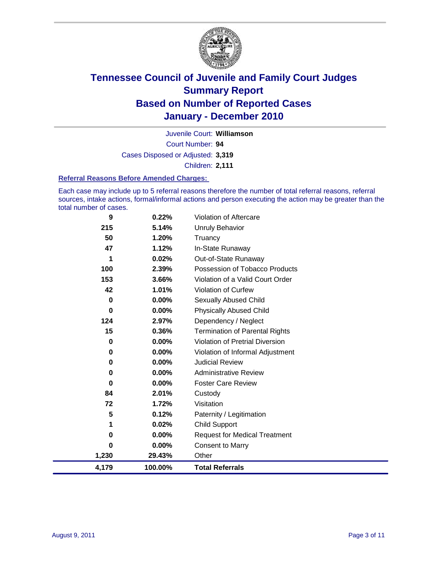

Court Number: **94** Juvenile Court: **Williamson** Cases Disposed or Adjusted: **3,319** Children: **2,111**

#### **Referral Reasons Before Amended Charges:**

Each case may include up to 5 referral reasons therefore the number of total referral reasons, referral sources, intake actions, formal/informal actions and person executing the action may be greater than the total number of cases.

| 4,179    | 100.00%  | <b>Total Referrals</b>                 |
|----------|----------|----------------------------------------|
| 1,230    | 29.43%   | Other                                  |
| $\bf{0}$ | $0.00\%$ | <b>Consent to Marry</b>                |
| 0        | $0.00\%$ | <b>Request for Medical Treatment</b>   |
| 1        | 0.02%    | <b>Child Support</b>                   |
| 5        | 0.12%    | Paternity / Legitimation               |
| 72       | 1.72%    | Visitation                             |
| 84       | 2.01%    | Custody                                |
| 0        | $0.00\%$ | <b>Foster Care Review</b>              |
| 0        | $0.00\%$ | <b>Administrative Review</b>           |
| 0        | 0.00%    | <b>Judicial Review</b>                 |
| 0        | 0.00%    | Violation of Informal Adjustment       |
| 0        | 0.00%    | <b>Violation of Pretrial Diversion</b> |
| 15       | 0.36%    | <b>Termination of Parental Rights</b>  |
| 124      | 2.97%    | Dependency / Neglect                   |
| 0        | $0.00\%$ | <b>Physically Abused Child</b>         |
| 0        | $0.00\%$ | <b>Sexually Abused Child</b>           |
| 42       | 1.01%    | <b>Violation of Curfew</b>             |
| 153      | 3.66%    | Violation of a Valid Court Order       |
| 100      | 2.39%    | Possession of Tobacco Products         |
| 1        | 0.02%    | Out-of-State Runaway                   |
| 47       | 1.12%    | In-State Runaway                       |
| 50       | 1.20%    | Truancy                                |
| 215      | 5.14%    | <b>Unruly Behavior</b>                 |
| 9        | 0.22%    | Violation of Aftercare                 |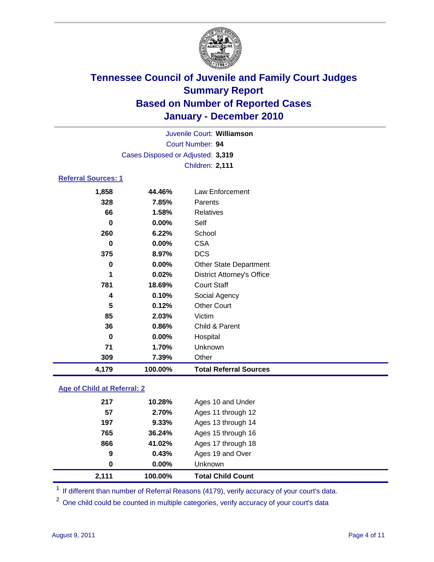

| 4,179                      | 100.00%                           | <b>Total Referral Sources</b>     |  |  |
|----------------------------|-----------------------------------|-----------------------------------|--|--|
| 309                        | 7.39%                             | Other                             |  |  |
| 71                         | 1.70%                             | Unknown                           |  |  |
| 0                          | 0.00%                             | Hospital                          |  |  |
| 36                         | 0.86%                             | Child & Parent                    |  |  |
| 85                         | 2.03%                             | Victim                            |  |  |
| 5                          | 0.12%                             | <b>Other Court</b>                |  |  |
| 4                          | 0.10%                             | Social Agency                     |  |  |
| 781                        | 18.69%                            | <b>Court Staff</b>                |  |  |
| 1                          | 0.02%                             | <b>District Attorney's Office</b> |  |  |
| 0                          | 0.00%                             | Other State Department            |  |  |
| 375                        | 8.97%                             | <b>DCS</b>                        |  |  |
| 0                          | 0.00%                             | <b>CSA</b>                        |  |  |
| 260                        | 6.22%                             | School                            |  |  |
| 0                          | 0.00%                             | Self                              |  |  |
| 66                         | 1.58%                             | <b>Relatives</b>                  |  |  |
| 328                        | 7.85%                             | Parents                           |  |  |
| 1,858                      | 44.46%                            | Law Enforcement                   |  |  |
| <b>Referral Sources: 1</b> |                                   |                                   |  |  |
| Children: 2,111            |                                   |                                   |  |  |
|                            | Cases Disposed or Adjusted: 3,319 |                                   |  |  |
|                            | Court Number: 94                  |                                   |  |  |
|                            | Juvenile Court: Williamson        |                                   |  |  |
|                            |                                   |                                   |  |  |

### **Age of Child at Referral: 2**

| 9<br>0 | 0.43%<br>$0.00\%$ | Ages 19 and Over<br><b>Unknown</b> |  |
|--------|-------------------|------------------------------------|--|
|        |                   |                                    |  |
|        |                   |                                    |  |
|        | 41.02%            | Ages 17 through 18                 |  |
| 765    | 36.24%            | Ages 15 through 16                 |  |
| 197    | 9.33%             | Ages 13 through 14                 |  |
| 57     | 2.70%             | Ages 11 through 12                 |  |
| 217    | 10.28%            | Ages 10 and Under                  |  |
|        | 866               |                                    |  |

<sup>1</sup> If different than number of Referral Reasons (4179), verify accuracy of your court's data.

<sup>2</sup> One child could be counted in multiple categories, verify accuracy of your court's data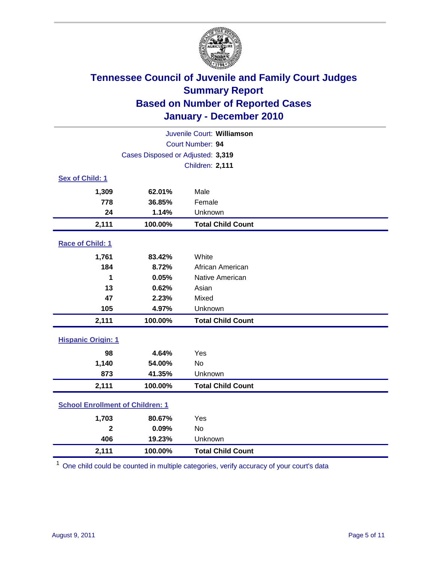

| Juvenile Court: Williamson              |                                   |                          |  |  |  |
|-----------------------------------------|-----------------------------------|--------------------------|--|--|--|
|                                         |                                   | Court Number: 94         |  |  |  |
|                                         | Cases Disposed or Adjusted: 3,319 |                          |  |  |  |
|                                         |                                   | Children: 2,111          |  |  |  |
| Sex of Child: 1                         |                                   |                          |  |  |  |
| 1,309                                   | 62.01%                            | Male                     |  |  |  |
| 778                                     | 36.85%                            | Female                   |  |  |  |
| 24                                      | 1.14%                             | Unknown                  |  |  |  |
| 2,111                                   | 100.00%                           | <b>Total Child Count</b> |  |  |  |
| Race of Child: 1                        |                                   |                          |  |  |  |
| 1,761                                   | 83.42%                            | White                    |  |  |  |
| 184                                     | 8.72%                             | African American         |  |  |  |
| 1                                       | 0.05%                             | Native American          |  |  |  |
| 13                                      | 0.62%                             | Asian                    |  |  |  |
| 47                                      | 2.23%                             | Mixed                    |  |  |  |
| 105                                     | 4.97%                             | Unknown                  |  |  |  |
| 2,111                                   | 100.00%                           | <b>Total Child Count</b> |  |  |  |
| <b>Hispanic Origin: 1</b>               |                                   |                          |  |  |  |
| 98                                      | 4.64%                             | Yes                      |  |  |  |
| 1,140                                   | 54.00%                            | <b>No</b>                |  |  |  |
| 873                                     | 41.35%                            | Unknown                  |  |  |  |
| 2,111                                   | 100.00%                           | <b>Total Child Count</b> |  |  |  |
| <b>School Enrollment of Children: 1</b> |                                   |                          |  |  |  |
| 1,703                                   | 80.67%                            | Yes                      |  |  |  |
| $\overline{\mathbf{2}}$                 | 0.09%                             | No                       |  |  |  |
| 406                                     | 19.23%                            | Unknown                  |  |  |  |
| 2,111                                   | 100.00%                           | <b>Total Child Count</b> |  |  |  |

<sup>1</sup> One child could be counted in multiple categories, verify accuracy of your court's data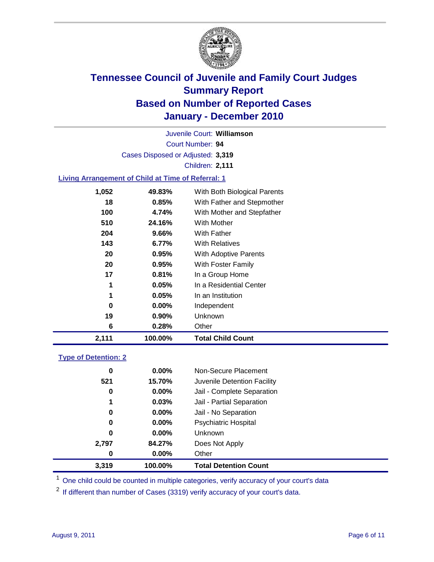

Court Number: **94** Juvenile Court: **Williamson** Cases Disposed or Adjusted: **3,319** Children: **2,111**

### **Living Arrangement of Child at Time of Referral: 1**

| 2,111 | 100.00%  | <b>Total Child Count</b>     |
|-------|----------|------------------------------|
| 6     | 0.28%    | Other                        |
| 19    | $0.90\%$ | Unknown                      |
| 0     | $0.00\%$ | Independent                  |
| 1     | 0.05%    | In an Institution            |
|       | 0.05%    | In a Residential Center      |
| 17    | 0.81%    | In a Group Home              |
| 20    | 0.95%    | With Foster Family           |
| 20    | 0.95%    | With Adoptive Parents        |
| 143   | $6.77\%$ | <b>With Relatives</b>        |
| 204   | 9.66%    | With Father                  |
| 510   | 24.16%   | <b>With Mother</b>           |
| 100   | 4.74%    | With Mother and Stepfather   |
| 18    | 0.85%    | With Father and Stepmother   |
| 1,052 | 49.83%   | With Both Biological Parents |
|       |          |                              |

### **Type of Detention: 2**

| 3,319 | 100.00%  | <b>Total Detention Count</b> |  |
|-------|----------|------------------------------|--|
| 0     | $0.00\%$ | Other                        |  |
| 2,797 | 84.27%   | Does Not Apply               |  |
| 0     | $0.00\%$ | <b>Unknown</b>               |  |
| 0     | 0.00%    | Psychiatric Hospital         |  |
| 0     | 0.00%    | Jail - No Separation         |  |
| 1     | 0.03%    | Jail - Partial Separation    |  |
| 0     | 0.00%    | Jail - Complete Separation   |  |
| 521   | 15.70%   | Juvenile Detention Facility  |  |
| 0     | $0.00\%$ | Non-Secure Placement         |  |
|       |          |                              |  |

<sup>1</sup> One child could be counted in multiple categories, verify accuracy of your court's data

<sup>2</sup> If different than number of Cases (3319) verify accuracy of your court's data.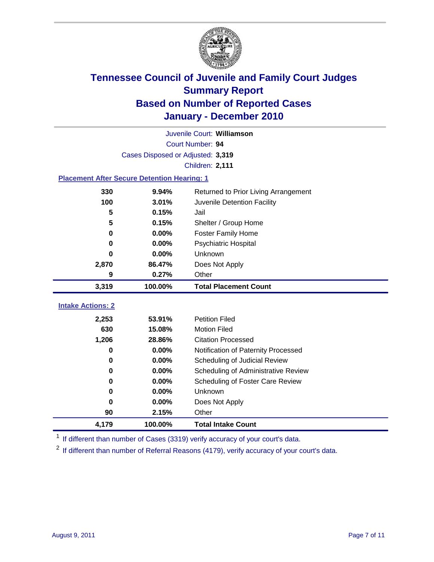

|                          | Juvenile Court: Williamson                         |                                      |  |  |  |
|--------------------------|----------------------------------------------------|--------------------------------------|--|--|--|
|                          | Court Number: 94                                   |                                      |  |  |  |
|                          | Cases Disposed or Adjusted: 3,319                  |                                      |  |  |  |
|                          |                                                    | Children: 2,111                      |  |  |  |
|                          | <b>Placement After Secure Detention Hearing: 1</b> |                                      |  |  |  |
| 330                      | 9.94%                                              | Returned to Prior Living Arrangement |  |  |  |
| 100                      | 3.01%                                              | Juvenile Detention Facility          |  |  |  |
| 5                        | 0.15%                                              | Jail                                 |  |  |  |
| 5                        | 0.15%                                              | Shelter / Group Home                 |  |  |  |
| 0                        | 0.00%                                              | <b>Foster Family Home</b>            |  |  |  |
| 0                        | 0.00%                                              | Psychiatric Hospital                 |  |  |  |
| 0                        | 0.00%                                              | Unknown                              |  |  |  |
| 2,870                    | 86.47%                                             | Does Not Apply                       |  |  |  |
| 9                        | 0.27%                                              | Other                                |  |  |  |
|                          |                                                    |                                      |  |  |  |
| 3,319                    | 100.00%                                            | <b>Total Placement Count</b>         |  |  |  |
|                          |                                                    |                                      |  |  |  |
| <b>Intake Actions: 2</b> |                                                    | <b>Petition Filed</b>                |  |  |  |
| 2,253<br>630             | 53.91%                                             | <b>Motion Filed</b>                  |  |  |  |
| 1,206                    | 15.08%<br>28.86%                                   | <b>Citation Processed</b>            |  |  |  |
| 0                        | 0.00%                                              | Notification of Paternity Processed  |  |  |  |
| 0                        | 0.00%                                              | Scheduling of Judicial Review        |  |  |  |
| 0                        | 0.00%                                              | Scheduling of Administrative Review  |  |  |  |
| 0                        | 0.00%                                              | Scheduling of Foster Care Review     |  |  |  |
| 0                        | 0.00%                                              | Unknown                              |  |  |  |
| 0                        | 0.00%                                              | Does Not Apply                       |  |  |  |
| 90                       | 2.15%                                              | Other                                |  |  |  |

<sup>1</sup> If different than number of Cases (3319) verify accuracy of your court's data.

<sup>2</sup> If different than number of Referral Reasons (4179), verify accuracy of your court's data.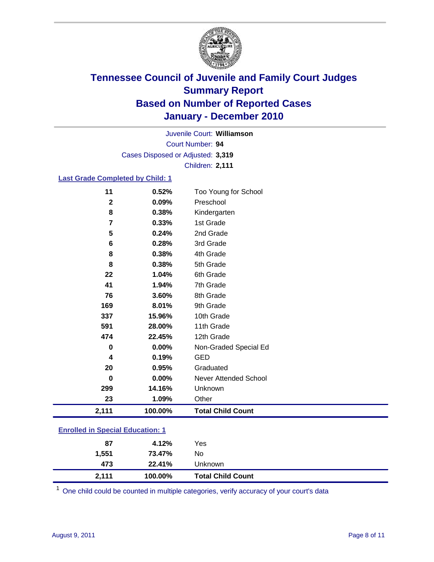

Court Number: **94** Juvenile Court: **Williamson** Cases Disposed or Adjusted: **3,319** Children: **2,111**

### **Last Grade Completed by Child: 1**

| 11                                      | 0.52%   | Too Young for School         |  |
|-----------------------------------------|---------|------------------------------|--|
| $\mathbf 2$                             | 0.09%   | Preschool                    |  |
| 8                                       | 0.38%   | Kindergarten                 |  |
| 7                                       | 0.33%   | 1st Grade                    |  |
| 5                                       | 0.24%   | 2nd Grade                    |  |
| 6                                       | 0.28%   | 3rd Grade                    |  |
| 8                                       | 0.38%   | 4th Grade                    |  |
| 8                                       | 0.38%   | 5th Grade                    |  |
| 22                                      | 1.04%   | 6th Grade                    |  |
| 41                                      | 1.94%   | 7th Grade                    |  |
| 76                                      | 3.60%   | 8th Grade                    |  |
| 169                                     | 8.01%   | 9th Grade                    |  |
| 337                                     | 15.96%  | 10th Grade                   |  |
| 591                                     | 28.00%  | 11th Grade                   |  |
| 474                                     | 22.45%  | 12th Grade                   |  |
| 0                                       | 0.00%   | Non-Graded Special Ed        |  |
| 4                                       | 0.19%   | <b>GED</b>                   |  |
| 20                                      | 0.95%   | Graduated                    |  |
| $\bf{0}$                                | 0.00%   | <b>Never Attended School</b> |  |
| 299                                     | 14.16%  | Unknown                      |  |
| 23                                      | 1.09%   | Other                        |  |
| 2,111                                   | 100.00% | <b>Total Child Count</b>     |  |
| <b>Enrolled in Special Education: 1</b> |         |                              |  |

| 87    | 4.12%   | Yes                      |  |
|-------|---------|--------------------------|--|
| 1,551 | 73.47%  | No.                      |  |
| 473   | 22.41%  | Unknown                  |  |
| 2,111 | 100.00% | <b>Total Child Count</b> |  |

One child could be counted in multiple categories, verify accuracy of your court's data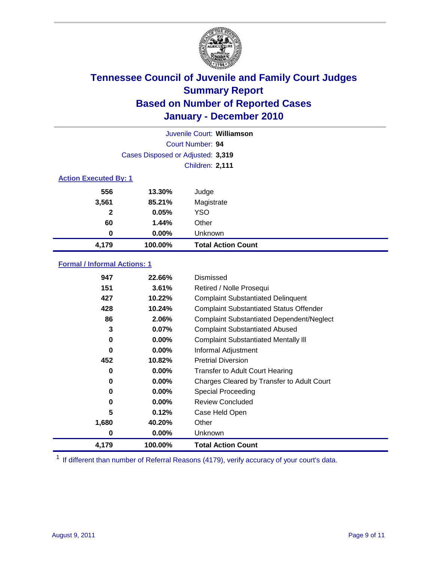

|              | Juvenile Court: Williamson        |                           |  |  |  |
|--------------|-----------------------------------|---------------------------|--|--|--|
|              |                                   | Court Number: 94          |  |  |  |
|              | Cases Disposed or Adjusted: 3,319 |                           |  |  |  |
|              | <b>Children: 2,111</b>            |                           |  |  |  |
|              | <b>Action Executed By: 1</b>      |                           |  |  |  |
| 556          | 13.30%                            | Judge                     |  |  |  |
| 3,561        | 85.21%                            | Magistrate                |  |  |  |
| $\mathbf{2}$ | 0.05%                             | <b>YSO</b>                |  |  |  |
| 60           | 1.44%                             | Other                     |  |  |  |
| 0            | 0.00%                             | Unknown                   |  |  |  |
| 4,179        | 100.00%                           | <b>Total Action Count</b> |  |  |  |

### **Formal / Informal Actions: 1**

| 947      | 22.66%   | Dismissed                                        |
|----------|----------|--------------------------------------------------|
| 151      | 3.61%    | Retired / Nolle Prosequi                         |
| 427      | 10.22%   | <b>Complaint Substantiated Delinquent</b>        |
| 428      | 10.24%   | <b>Complaint Substantiated Status Offender</b>   |
| 86       | 2.06%    | <b>Complaint Substantiated Dependent/Neglect</b> |
| 3        | 0.07%    | <b>Complaint Substantiated Abused</b>            |
| 0        | $0.00\%$ | <b>Complaint Substantiated Mentally III</b>      |
| $\bf{0}$ | $0.00\%$ | Informal Adjustment                              |
| 452      | 10.82%   | <b>Pretrial Diversion</b>                        |
| 0        | $0.00\%$ | <b>Transfer to Adult Court Hearing</b>           |
| 0        | $0.00\%$ | Charges Cleared by Transfer to Adult Court       |
| 0        | $0.00\%$ | <b>Special Proceeding</b>                        |
| 0        | $0.00\%$ | <b>Review Concluded</b>                          |
| 5        | 0.12%    | Case Held Open                                   |
| 1,680    | 40.20%   | Other                                            |
| 0        | 0.00%    | <b>Unknown</b>                                   |
| 4,179    | 100.00%  | <b>Total Action Count</b>                        |

<sup>1</sup> If different than number of Referral Reasons (4179), verify accuracy of your court's data.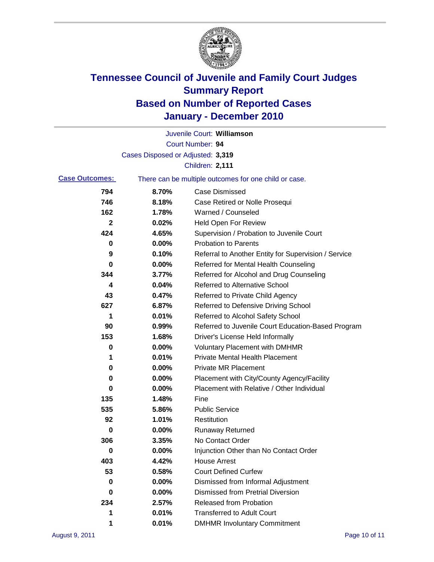

|                       |                                   | Juvenile Court: Williamson                            |
|-----------------------|-----------------------------------|-------------------------------------------------------|
|                       |                                   | Court Number: 94                                      |
|                       | Cases Disposed or Adjusted: 3,319 |                                                       |
|                       |                                   | Children: 2,111                                       |
| <b>Case Outcomes:</b> |                                   | There can be multiple outcomes for one child or case. |
| 794                   | 8.70%                             | <b>Case Dismissed</b>                                 |
| 746                   | 8.18%                             | Case Retired or Nolle Prosequi                        |
| 162                   | 1.78%                             | Warned / Counseled                                    |
| 2                     | 0.02%                             | <b>Held Open For Review</b>                           |
| 424                   | 4.65%                             | Supervision / Probation to Juvenile Court             |
| 0                     | 0.00%                             | <b>Probation to Parents</b>                           |
| 9                     | 0.10%                             | Referral to Another Entity for Supervision / Service  |
| 0                     | 0.00%                             | Referred for Mental Health Counseling                 |
| 344                   | 3.77%                             | Referred for Alcohol and Drug Counseling              |
| 4                     | 0.04%                             | <b>Referred to Alternative School</b>                 |
| 43                    | 0.47%                             | Referred to Private Child Agency                      |
| 627                   | 6.87%                             | Referred to Defensive Driving School                  |
| 1                     | 0.01%                             | Referred to Alcohol Safety School                     |
| 90                    | 0.99%                             | Referred to Juvenile Court Education-Based Program    |
| 153                   | 1.68%                             | Driver's License Held Informally                      |
| 0                     | 0.00%                             | <b>Voluntary Placement with DMHMR</b>                 |
| 1                     | 0.01%                             | <b>Private Mental Health Placement</b>                |
| 0                     | 0.00%                             | <b>Private MR Placement</b>                           |
| 0                     | 0.00%                             | Placement with City/County Agency/Facility            |
| 0                     | 0.00%                             | Placement with Relative / Other Individual            |
| 135                   | 1.48%                             | Fine                                                  |
| 535                   | 5.86%                             | <b>Public Service</b>                                 |
| 92                    | 1.01%                             | Restitution                                           |
| 0                     | 0.00%                             | <b>Runaway Returned</b>                               |
| 306                   | 3.35%                             | No Contact Order                                      |
| $\pmb{0}$             | 0.00%                             | Injunction Other than No Contact Order                |
| 403                   | 4.42%                             | <b>House Arrest</b>                                   |
| 53                    | 0.58%                             | <b>Court Defined Curfew</b>                           |
| 0                     | 0.00%                             | Dismissed from Informal Adjustment                    |
| 0                     | 0.00%                             | <b>Dismissed from Pretrial Diversion</b>              |
| 234                   | 2.57%                             | <b>Released from Probation</b>                        |
| 1                     | 0.01%                             | <b>Transferred to Adult Court</b>                     |
| 1                     | 0.01%                             | <b>DMHMR Involuntary Commitment</b>                   |